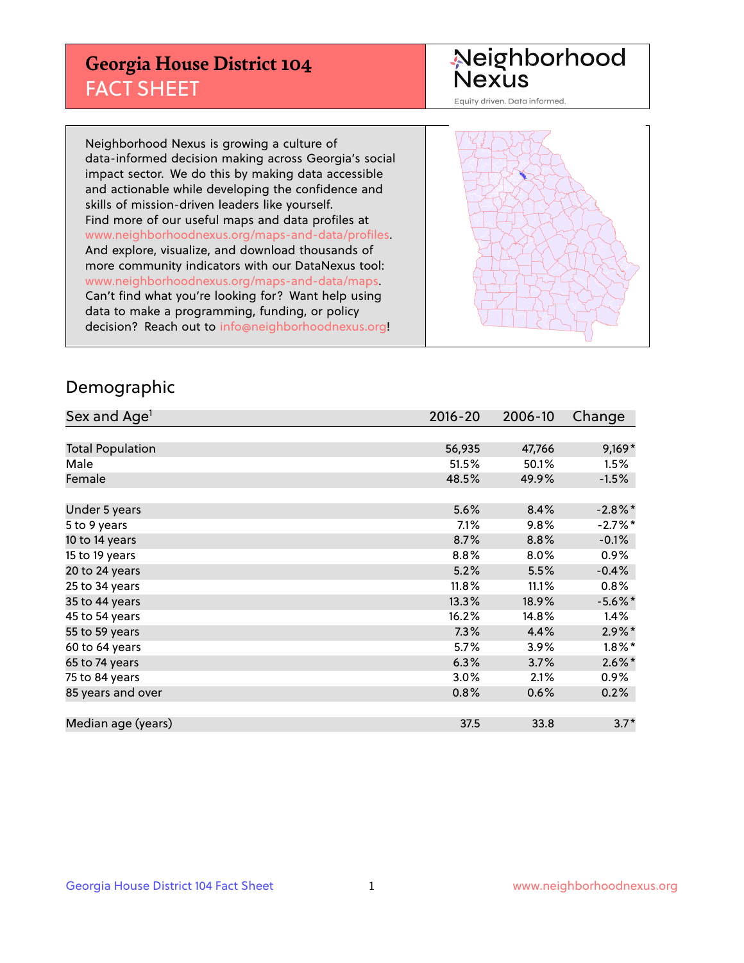## **Georgia House District 104** FACT SHEET

# Neighborhood<br>Nexus

Equity driven. Data informed.

Neighborhood Nexus is growing a culture of data-informed decision making across Georgia's social impact sector. We do this by making data accessible and actionable while developing the confidence and skills of mission-driven leaders like yourself. Find more of our useful maps and data profiles at www.neighborhoodnexus.org/maps-and-data/profiles. And explore, visualize, and download thousands of more community indicators with our DataNexus tool: www.neighborhoodnexus.org/maps-and-data/maps. Can't find what you're looking for? Want help using data to make a programming, funding, or policy decision? Reach out to [info@neighborhoodnexus.org!](mailto:info@neighborhoodnexus.org)



### Demographic

| Sex and Age <sup>1</sup> | $2016 - 20$ | 2006-10 | Change     |
|--------------------------|-------------|---------|------------|
|                          |             |         |            |
| <b>Total Population</b>  | 56,935      | 47,766  | $9,169*$   |
| Male                     | 51.5%       | 50.1%   | 1.5%       |
| Female                   | 48.5%       | 49.9%   | $-1.5%$    |
|                          |             |         |            |
| Under 5 years            | 5.6%        | 8.4%    | $-2.8\%$ * |
| 5 to 9 years             | 7.1%        | 9.8%    | $-2.7%$ *  |
| 10 to 14 years           | 8.7%        | 8.8%    | $-0.1%$    |
| 15 to 19 years           | 8.8%        | 8.0%    | 0.9%       |
| 20 to 24 years           | 5.2%        | 5.5%    | $-0.4%$    |
| 25 to 34 years           | 11.8%       | 11.1%   | $0.8\%$    |
| 35 to 44 years           | 13.3%       | 18.9%   | $-5.6\%$ * |
| 45 to 54 years           | 16.2%       | 14.8%   | 1.4%       |
| 55 to 59 years           | 7.3%        | 4.4%    | $2.9\%$ *  |
| 60 to 64 years           | 5.7%        | 3.9%    | $1.8\%$ *  |
| 65 to 74 years           | 6.3%        | 3.7%    | $2.6\%$ *  |
| 75 to 84 years           | 3.0%        | 2.1%    | $0.9\%$    |
| 85 years and over        | 0.8%        | 0.6%    | 0.2%       |
|                          |             |         |            |
| Median age (years)       | 37.5        | 33.8    | $3.7*$     |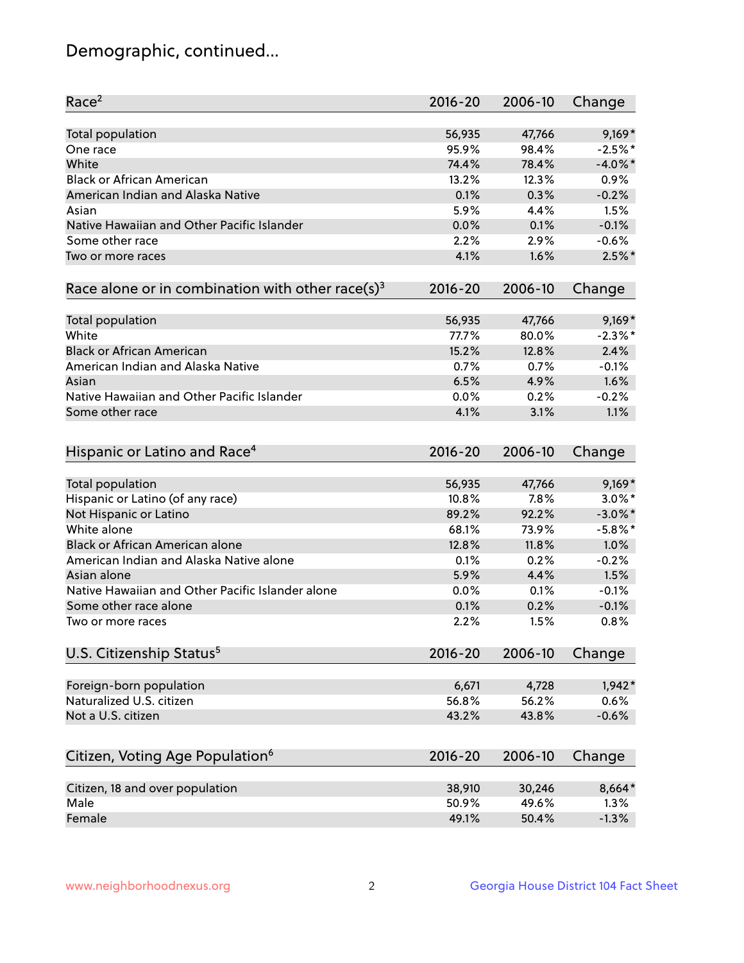## Demographic, continued...

| Race <sup>2</sup>                                            | $2016 - 20$ | 2006-10 | Change     |
|--------------------------------------------------------------|-------------|---------|------------|
| <b>Total population</b>                                      | 56,935      | 47,766  | $9,169*$   |
| One race                                                     | 95.9%       | 98.4%   | $-2.5%$ *  |
| White                                                        | 74.4%       | 78.4%   | $-4.0\%$ * |
| <b>Black or African American</b>                             | 13.2%       | 12.3%   | 0.9%       |
| American Indian and Alaska Native                            | 0.1%        | 0.3%    | $-0.2%$    |
| Asian                                                        | 5.9%        | 4.4%    | 1.5%       |
| Native Hawaiian and Other Pacific Islander                   | 0.0%        | 0.1%    | $-0.1%$    |
| Some other race                                              | 2.2%        | 2.9%    | $-0.6%$    |
| Two or more races                                            | 4.1%        | 1.6%    | $2.5%$ *   |
| Race alone or in combination with other race(s) <sup>3</sup> | $2016 - 20$ | 2006-10 | Change     |
|                                                              |             |         |            |
| Total population                                             | 56,935      | 47,766  | $9,169*$   |
| White                                                        | 77.7%       | 80.0%   | $-2.3\%$ * |
| <b>Black or African American</b>                             | 15.2%       | 12.8%   | 2.4%       |
| American Indian and Alaska Native                            | 0.7%        | 0.7%    | $-0.1%$    |
| Asian                                                        | 6.5%        | 4.9%    | 1.6%       |
| Native Hawaiian and Other Pacific Islander                   | 0.0%        | 0.2%    | $-0.2%$    |
| Some other race                                              | 4.1%        | 3.1%    | 1.1%       |
| Hispanic or Latino and Race <sup>4</sup>                     | $2016 - 20$ | 2006-10 | Change     |
| <b>Total population</b>                                      | 56,935      | 47,766  | $9,169*$   |
| Hispanic or Latino (of any race)                             | 10.8%       | 7.8%    | $3.0\%$ *  |
| Not Hispanic or Latino                                       | 89.2%       | 92.2%   | $-3.0\%$ * |
| White alone                                                  | 68.1%       | 73.9%   | $-5.8\%$ * |
| <b>Black or African American alone</b>                       | 12.8%       | 11.8%   | 1.0%       |
| American Indian and Alaska Native alone                      | 0.1%        | 0.2%    | $-0.2%$    |
| Asian alone                                                  | 5.9%        | 4.4%    | 1.5%       |
| Native Hawaiian and Other Pacific Islander alone             | 0.0%        | 0.1%    | $-0.1%$    |
| Some other race alone                                        | 0.1%        | 0.2%    | $-0.1%$    |
| Two or more races                                            | 2.2%        | 1.5%    | 0.8%       |
|                                                              |             |         |            |
| U.S. Citizenship Status <sup>5</sup>                         | $2016 - 20$ | 2006-10 | Change     |
| Foreign-born population                                      | 6,671       | 4,728   | $1,942*$   |
| Naturalized U.S. citizen                                     | 56.8%       | 56.2%   | 0.6%       |
| Not a U.S. citizen                                           | 43.2%       | 43.8%   | $-0.6%$    |
|                                                              |             |         |            |
| Citizen, Voting Age Population <sup>6</sup>                  | $2016 - 20$ | 2006-10 | Change     |
| Citizen, 18 and over population                              | 38,910      | 30,246  | 8,664*     |
| Male                                                         | 50.9%       | 49.6%   | 1.3%       |
| Female                                                       | 49.1%       | 50.4%   | $-1.3%$    |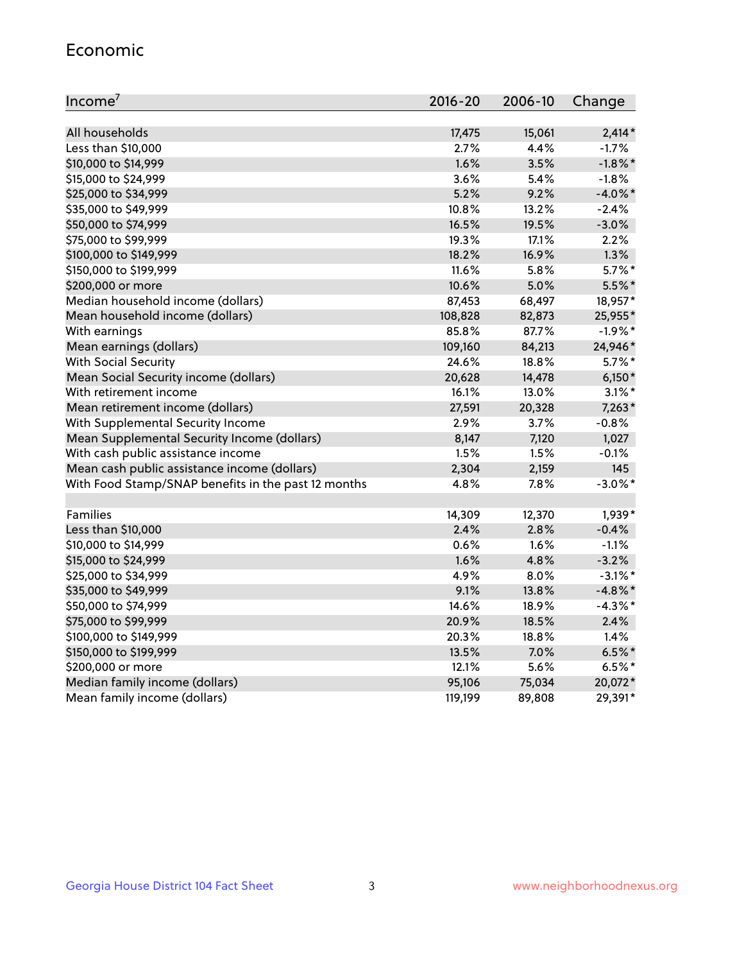#### Economic

| Income <sup>7</sup>                                 | $2016 - 20$ | 2006-10 | Change     |
|-----------------------------------------------------|-------------|---------|------------|
|                                                     |             |         |            |
| All households                                      | 17,475      | 15,061  | $2,414*$   |
| Less than \$10,000                                  | 2.7%        | 4.4%    | $-1.7%$    |
| \$10,000 to \$14,999                                | 1.6%        | 3.5%    | $-1.8\%$ * |
| \$15,000 to \$24,999                                | 3.6%        | 5.4%    | $-1.8%$    |
| \$25,000 to \$34,999                                | 5.2%        | 9.2%    | $-4.0\%$ * |
| \$35,000 to \$49,999                                | 10.8%       | 13.2%   | $-2.4%$    |
| \$50,000 to \$74,999                                | 16.5%       | 19.5%   | $-3.0%$    |
| \$75,000 to \$99,999                                | 19.3%       | 17.1%   | 2.2%       |
| \$100,000 to \$149,999                              | 18.2%       | 16.9%   | 1.3%       |
| \$150,000 to \$199,999                              | 11.6%       | 5.8%    | $5.7\%$ *  |
| \$200,000 or more                                   | 10.6%       | 5.0%    | 5.5%*      |
| Median household income (dollars)                   | 87,453      | 68,497  | 18,957*    |
| Mean household income (dollars)                     | 108,828     | 82,873  | 25,955*    |
| With earnings                                       | 85.8%       | 87.7%   | $-1.9%$ *  |
| Mean earnings (dollars)                             | 109,160     | 84,213  | 24,946*    |
| <b>With Social Security</b>                         | 24.6%       | 18.8%   | $5.7\%$ *  |
| Mean Social Security income (dollars)               | 20,628      | 14,478  | $6,150*$   |
| With retirement income                              | 16.1%       | 13.0%   | $3.1\%$ *  |
| Mean retirement income (dollars)                    | 27,591      | 20,328  | $7,263*$   |
| With Supplemental Security Income                   | 2.9%        | 3.7%    | $-0.8%$    |
| Mean Supplemental Security Income (dollars)         | 8,147       | 7,120   | 1,027      |
| With cash public assistance income                  | 1.5%        | 1.5%    | $-0.1%$    |
| Mean cash public assistance income (dollars)        | 2,304       | 2,159   | 145        |
| With Food Stamp/SNAP benefits in the past 12 months | 4.8%        | 7.8%    | $-3.0\%$ * |
|                                                     |             |         |            |
| Families                                            | 14,309      | 12,370  | 1,939*     |
| Less than \$10,000                                  | 2.4%        | 2.8%    | $-0.4%$    |
| \$10,000 to \$14,999                                | 0.6%        | 1.6%    | $-1.1%$    |
| \$15,000 to \$24,999                                | 1.6%        | 4.8%    | $-3.2%$    |
| \$25,000 to \$34,999                                | 4.9%        | 8.0%    | $-3.1\%$ * |
| \$35,000 to \$49,999                                | 9.1%        | 13.8%   | $-4.8\%$ * |
| \$50,000 to \$74,999                                | 14.6%       | 18.9%   | $-4.3\%$ * |
| \$75,000 to \$99,999                                | 20.9%       | 18.5%   | 2.4%       |
| \$100,000 to \$149,999                              | 20.3%       | 18.8%   | 1.4%       |
| \$150,000 to \$199,999                              | 13.5%       | 7.0%    | $6.5%$ *   |
| \$200,000 or more                                   | 12.1%       | 5.6%    | $6.5%$ *   |
| Median family income (dollars)                      | 95,106      | 75,034  | 20,072*    |
| Mean family income (dollars)                        | 119,199     | 89,808  | 29,391*    |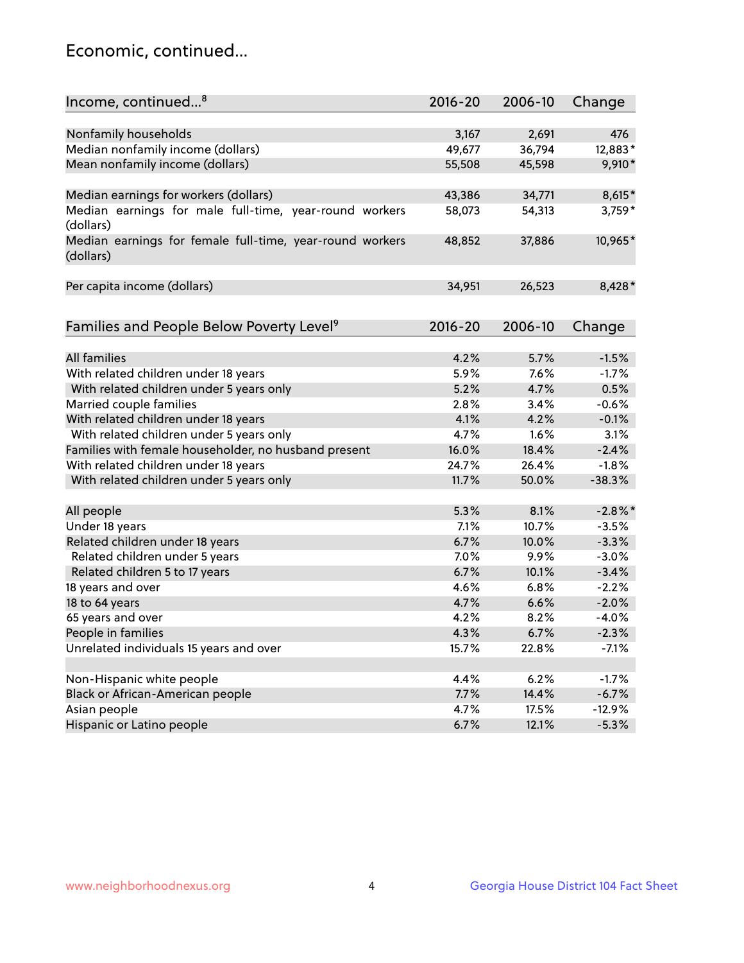## Economic, continued...

| Income, continued <sup>8</sup>                                        | $2016 - 20$ | 2006-10 | Change   |
|-----------------------------------------------------------------------|-------------|---------|----------|
|                                                                       |             |         |          |
| Nonfamily households                                                  | 3,167       | 2,691   | 476      |
| Median nonfamily income (dollars)                                     | 49,677      | 36,794  | 12,883*  |
| Mean nonfamily income (dollars)                                       | 55,508      | 45,598  | 9,910*   |
| Median earnings for workers (dollars)                                 | 43,386      | 34,771  | 8,615*   |
| Median earnings for male full-time, year-round workers                | 58,073      | 54,313  | 3,759*   |
| (dollars)                                                             |             |         |          |
| Median earnings for female full-time, year-round workers<br>(dollars) | 48,852      | 37,886  | 10,965*  |
| Per capita income (dollars)                                           | 34,951      | 26,523  | 8,428*   |
|                                                                       |             |         |          |
| Families and People Below Poverty Level <sup>9</sup>                  | 2016-20     | 2006-10 | Change   |
|                                                                       |             |         |          |
| <b>All families</b>                                                   | 4.2%        | 5.7%    | $-1.5%$  |
| With related children under 18 years                                  | 5.9%        | 7.6%    | $-1.7%$  |
| With related children under 5 years only                              | 5.2%        | 4.7%    | 0.5%     |
| Married couple families                                               | 2.8%        | 3.4%    | $-0.6%$  |
| With related children under 18 years                                  | 4.1%        | 4.2%    | $-0.1%$  |
| With related children under 5 years only                              | 4.7%        | 1.6%    | 3.1%     |
| Families with female householder, no husband present                  | 16.0%       | 18.4%   | $-2.4%$  |
| With related children under 18 years                                  | 24.7%       | 26.4%   | $-1.8%$  |
| With related children under 5 years only                              | 11.7%       | 50.0%   | $-38.3%$ |
| All people                                                            | 5.3%        | 8.1%    | $-2.8%$  |
| Under 18 years                                                        | 7.1%        | 10.7%   | $-3.5%$  |
| Related children under 18 years                                       | 6.7%        | 10.0%   | $-3.3%$  |
| Related children under 5 years                                        | 7.0%        | 9.9%    | $-3.0%$  |
| Related children 5 to 17 years                                        | 6.7%        | 10.1%   | $-3.4%$  |
| 18 years and over                                                     | 4.6%        | 6.8%    | $-2.2%$  |
| 18 to 64 years                                                        | 4.7%        | 6.6%    | $-2.0%$  |
| 65 years and over                                                     | 4.2%        | 8.2%    | $-4.0%$  |
| People in families                                                    | 4.3%        | 6.7%    | $-2.3%$  |
| Unrelated individuals 15 years and over                               |             |         |          |
|                                                                       | 15.7%       | 22.8%   | $-7.1%$  |
| Non-Hispanic white people                                             | 4.4%        | 6.2%    | $-1.7%$  |
|                                                                       | 7.7%        | 14.4%   | $-6.7%$  |
| Black or African-American people                                      |             |         | $-12.9%$ |
| Asian people                                                          | 4.7%        | 17.5%   |          |
| Hispanic or Latino people                                             | 6.7%        | 12.1%   | $-5.3%$  |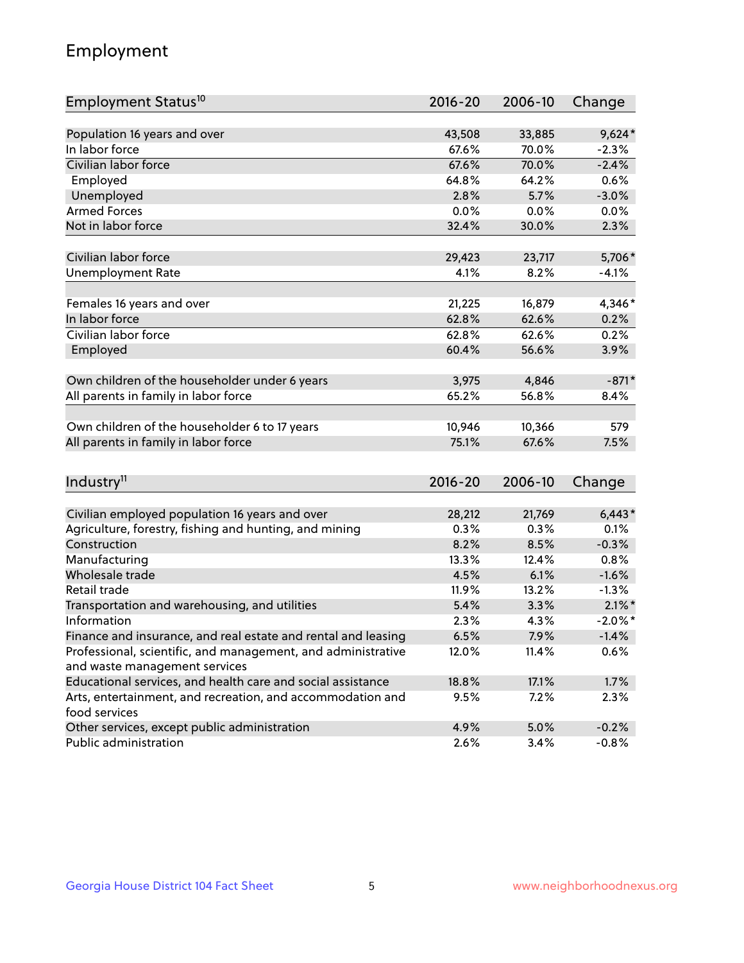## Employment

| Employment Status <sup>10</sup>                               | $2016 - 20$ | 2006-10 | Change     |
|---------------------------------------------------------------|-------------|---------|------------|
|                                                               |             |         |            |
| Population 16 years and over                                  | 43,508      | 33,885  | $9,624*$   |
| In labor force                                                | 67.6%       | 70.0%   | $-2.3%$    |
| Civilian labor force                                          | 67.6%       | 70.0%   | $-2.4%$    |
| Employed                                                      | 64.8%       | 64.2%   | 0.6%       |
| Unemployed                                                    | 2.8%        | 5.7%    | $-3.0%$    |
| <b>Armed Forces</b>                                           | 0.0%        | 0.0%    | 0.0%       |
| Not in labor force                                            | 32.4%       | 30.0%   | 2.3%       |
|                                                               |             |         |            |
| Civilian labor force                                          | 29,423      | 23,717  | 5,706*     |
| <b>Unemployment Rate</b>                                      | 4.1%        | 8.2%    | $-4.1%$    |
| Females 16 years and over                                     | 21,225      | 16,879  | 4,346*     |
| In labor force                                                | 62.8%       | 62.6%   | 0.2%       |
| Civilian labor force                                          | 62.8%       | 62.6%   | 0.2%       |
| Employed                                                      | 60.4%       | 56.6%   | 3.9%       |
|                                                               |             |         |            |
| Own children of the householder under 6 years                 | 3,975       | 4,846   | $-871*$    |
| All parents in family in labor force                          | 65.2%       | 56.8%   | 8.4%       |
|                                                               |             |         |            |
| Own children of the householder 6 to 17 years                 | 10,946      | 10,366  | 579        |
| All parents in family in labor force                          | 75.1%       | 67.6%   | 7.5%       |
|                                                               |             |         |            |
| Industry <sup>11</sup>                                        | $2016 - 20$ | 2006-10 | Change     |
| Civilian employed population 16 years and over                | 28,212      | 21,769  | $6,443*$   |
| Agriculture, forestry, fishing and hunting, and mining        | 0.3%        | 0.3%    | 0.1%       |
| Construction                                                  | 8.2%        | 8.5%    | $-0.3%$    |
| Manufacturing                                                 | 13.3%       | 12.4%   | 0.8%       |
| Wholesale trade                                               | 4.5%        | 6.1%    | $-1.6%$    |
| Retail trade                                                  | 11.9%       | 13.2%   | $-1.3%$    |
| Transportation and warehousing, and utilities                 | 5.4%        | 3.3%    | $2.1\%$ *  |
| Information                                                   | 2.3%        | 4.3%    | $-2.0\%$ * |
| Finance and insurance, and real estate and rental and leasing | 6.5%        | 7.9%    | $-1.4%$    |
| Professional, scientific, and management, and administrative  | 12.0%       | 11.4%   | 0.6%       |
| and waste management services                                 |             |         |            |
| Educational services, and health care and social assistance   | 18.8%       | 17.1%   | 1.7%       |
| Arts, entertainment, and recreation, and accommodation and    | 9.5%        | 7.2%    | 2.3%       |
| food services                                                 |             |         |            |
| Other services, except public administration                  | 4.9%        | 5.0%    | $-0.2%$    |
| Public administration                                         | 2.6%        | 3.4%    | $-0.8%$    |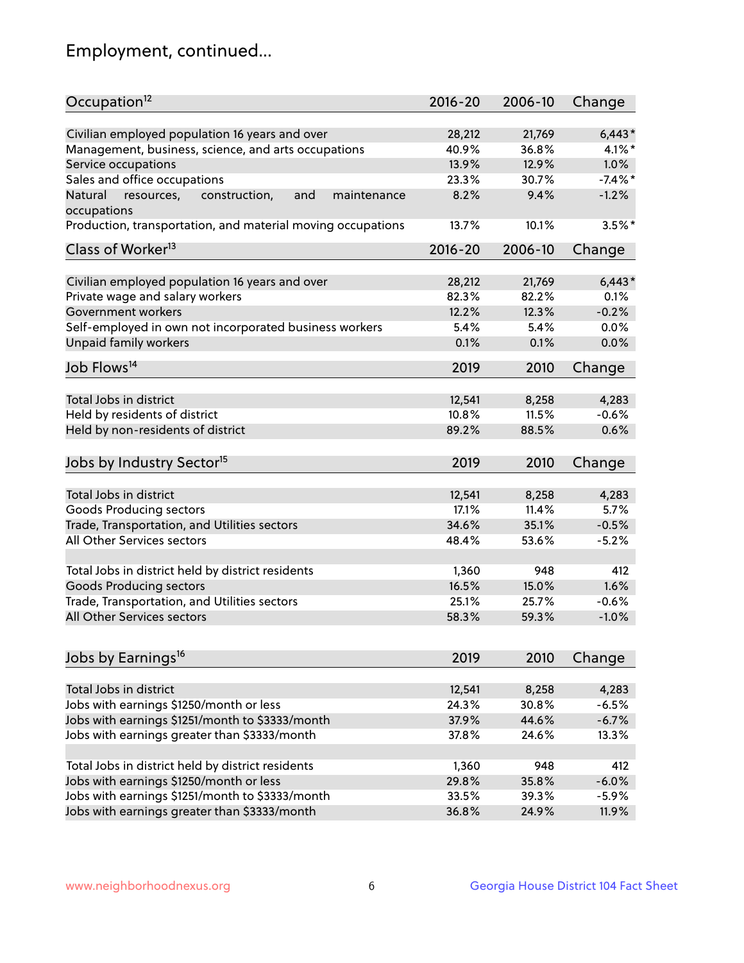## Employment, continued...

| Occupation <sup>12</sup>                                                    | $2016 - 20$ | 2006-10 | Change     |
|-----------------------------------------------------------------------------|-------------|---------|------------|
| Civilian employed population 16 years and over                              | 28,212      | 21,769  | $6,443*$   |
| Management, business, science, and arts occupations                         | 40.9%       | 36.8%   | $4.1\%$ *  |
| Service occupations                                                         | 13.9%       | 12.9%   | 1.0%       |
| Sales and office occupations                                                | 23.3%       | 30.7%   | $-7.4\%$ * |
|                                                                             |             |         |            |
| Natural<br>and<br>resources,<br>construction,<br>maintenance<br>occupations | 8.2%        | 9.4%    | $-1.2%$    |
| Production, transportation, and material moving occupations                 | 13.7%       | 10.1%   | $3.5%$ *   |
| Class of Worker <sup>13</sup>                                               | $2016 - 20$ | 2006-10 | Change     |
| Civilian employed population 16 years and over                              | 28,212      | 21,769  | $6,443*$   |
| Private wage and salary workers                                             | 82.3%       | 82.2%   | 0.1%       |
| Government workers                                                          | 12.2%       | 12.3%   | $-0.2%$    |
| Self-employed in own not incorporated business workers                      | 5.4%        | 5.4%    | 0.0%       |
| Unpaid family workers                                                       | 0.1%        | 0.1%    | 0.0%       |
| Job Flows <sup>14</sup>                                                     | 2019        | 2010    | Change     |
|                                                                             |             |         |            |
| Total Jobs in district                                                      | 12,541      | 8,258   | 4,283      |
| Held by residents of district                                               | 10.8%       | 11.5%   | $-0.6%$    |
| Held by non-residents of district                                           | 89.2%       | 88.5%   | 0.6%       |
| Jobs by Industry Sector <sup>15</sup>                                       | 2019        | 2010    | Change     |
| Total Jobs in district                                                      | 12,541      | 8,258   | 4,283      |
| Goods Producing sectors                                                     | 17.1%       | 11.4%   | 5.7%       |
| Trade, Transportation, and Utilities sectors                                | 34.6%       | 35.1%   | $-0.5%$    |
| All Other Services sectors                                                  | 48.4%       | 53.6%   | $-5.2%$    |
|                                                                             |             |         |            |
| Total Jobs in district held by district residents                           | 1,360       | 948     | 412        |
| <b>Goods Producing sectors</b>                                              | 16.5%       | 15.0%   | 1.6%       |
| Trade, Transportation, and Utilities sectors                                | 25.1%       | 25.7%   | $-0.6%$    |
| All Other Services sectors                                                  | 58.3%       | 59.3%   | $-1.0%$    |
|                                                                             |             |         |            |
| Jobs by Earnings <sup>16</sup>                                              | 2019        | 2010    | Change     |
| Total Jobs in district                                                      | 12,541      | 8,258   | 4,283      |
| Jobs with earnings \$1250/month or less                                     | 24.3%       | 30.8%   | $-6.5%$    |
| Jobs with earnings \$1251/month to \$3333/month                             | 37.9%       | 44.6%   | $-6.7%$    |
| Jobs with earnings greater than \$3333/month                                | 37.8%       | 24.6%   | 13.3%      |
|                                                                             |             |         |            |
| Total Jobs in district held by district residents                           | 1,360       | 948     | 412        |
| Jobs with earnings \$1250/month or less                                     | 29.8%       | 35.8%   | $-6.0%$    |
| Jobs with earnings \$1251/month to \$3333/month                             | 33.5%       | 39.3%   | $-5.9%$    |
| Jobs with earnings greater than \$3333/month                                | 36.8%       | 24.9%   | 11.9%      |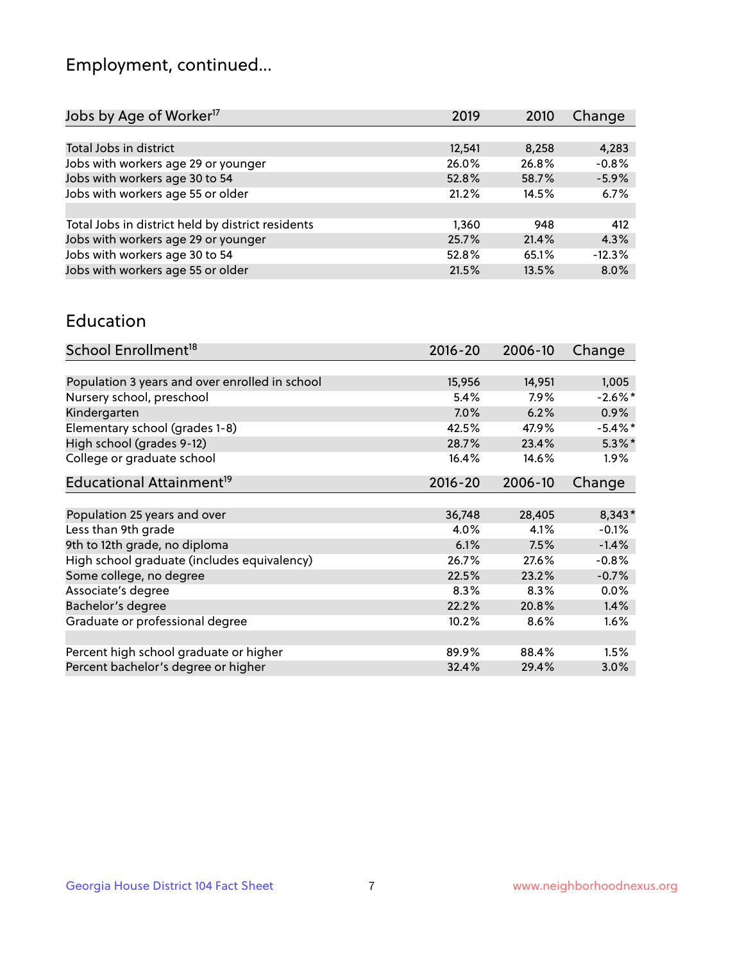## Employment, continued...

| 2019   | 2010  | Change   |
|--------|-------|----------|
|        |       |          |
| 12,541 | 8,258 | 4,283    |
| 26.0%  | 26.8% | $-0.8%$  |
| 52.8%  | 58.7% | $-5.9%$  |
| 21.2%  | 14.5% | 6.7%     |
|        |       |          |
| 1,360  | 948   | 412      |
| 25.7%  | 21.4% | 4.3%     |
| 52.8%  | 65.1% | $-12.3%$ |
| 21.5%  | 13.5% | 8.0%     |
|        |       |          |

#### Education

| School Enrollment <sup>18</sup>                | $2016 - 20$ | 2006-10 | Change     |
|------------------------------------------------|-------------|---------|------------|
|                                                |             |         |            |
| Population 3 years and over enrolled in school | 15,956      | 14,951  | 1,005      |
| Nursery school, preschool                      | $5.4\%$     | $7.9\%$ | $-2.6\%$ * |
| Kindergarten                                   | 7.0%        | 6.2%    | $0.9\%$    |
| Elementary school (grades 1-8)                 | 42.5%       | 47.9%   | $-5.4\%$ * |
| High school (grades 9-12)                      | 28.7%       | 23.4%   | $5.3\%$ *  |
| College or graduate school                     | 16.4%       | 14.6%   | $1.9\%$    |
| Educational Attainment <sup>19</sup>           | $2016 - 20$ | 2006-10 | Change     |
|                                                |             |         |            |
| Population 25 years and over                   | 36,748      | 28,405  | $8,343*$   |
| Less than 9th grade                            | 4.0%        | 4.1%    | $-0.1%$    |
| 9th to 12th grade, no diploma                  | 6.1%        | 7.5%    | $-1.4%$    |
| High school graduate (includes equivalency)    | 26.7%       | 27.6%   | $-0.8%$    |
| Some college, no degree                        | 22.5%       | 23.2%   | $-0.7%$    |
| Associate's degree                             | 8.3%        | 8.3%    | 0.0%       |
| Bachelor's degree                              | 22.2%       | 20.8%   | 1.4%       |
| Graduate or professional degree                | 10.2%       | 8.6%    | 1.6%       |
| Percent high school graduate or higher         | 89.9%       | 88.4%   | 1.5%       |
| Percent bachelor's degree or higher            | 32.4%       | 29.4%   | $3.0\%$    |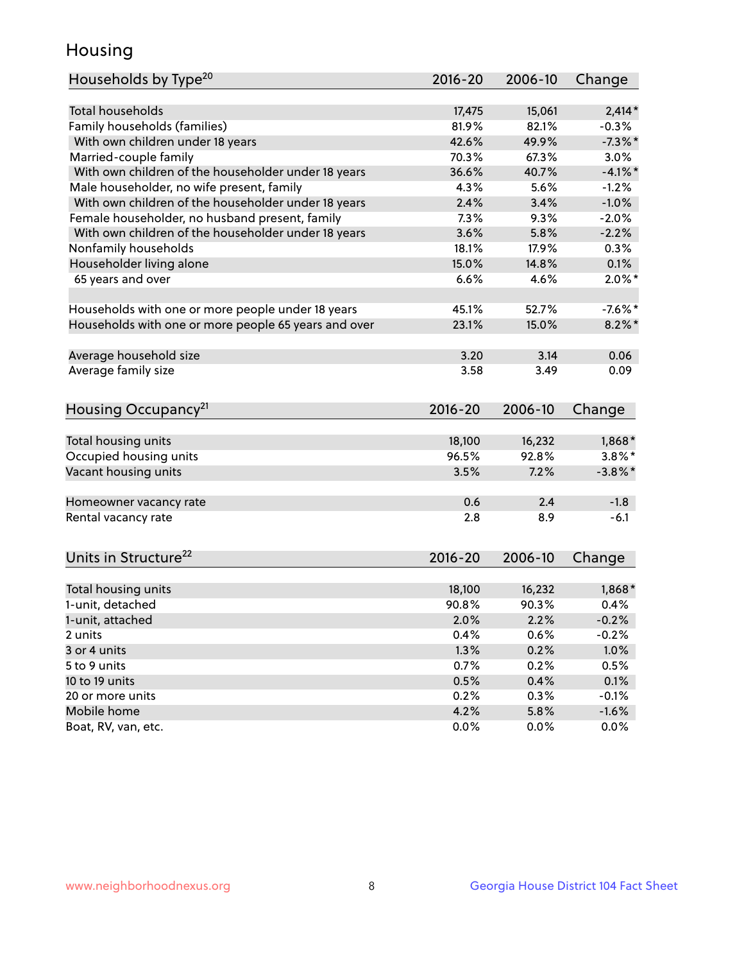## Housing

| <b>Total households</b><br>$2,414*$<br>15,061<br>17,475<br>Family households (families)<br>81.9%<br>82.1%<br>$-0.3%$<br>42.6%<br>49.9%<br>$-7.3%$<br>With own children under 18 years<br>Married-couple family<br>70.3%<br>67.3%<br>3.0%<br>With own children of the householder under 18 years<br>36.6%<br>40.7%<br>$-4.1%$ *<br>Male householder, no wife present, family<br>4.3%<br>5.6%<br>$-1.2%$<br>With own children of the householder under 18 years<br>$-1.0%$<br>2.4%<br>3.4%<br>Female householder, no husband present, family<br>7.3%<br>9.3%<br>$-2.0%$<br>With own children of the householder under 18 years<br>3.6%<br>5.8%<br>$-2.2%$<br>Nonfamily households<br>18.1%<br>17.9%<br>0.3%<br>Householder living alone<br>15.0%<br>14.8%<br>0.1%<br>6.6%<br>4.6%<br>$2.0\%$ *<br>65 years and over<br>Households with one or more people under 18 years<br>45.1%<br>52.7%<br>$-7.6\%$ *<br>Households with one or more people 65 years and over<br>23.1%<br>15.0%<br>$8.2\%$ *<br>3.20<br>Average household size<br>3.14<br>0.06<br>Average family size<br>3.58<br>3.49<br>0.09<br>Housing Occupancy <sup>21</sup><br>2016-20<br>2006-10<br>Change<br>Total housing units<br>18,100<br>16,232<br>$1,868*$<br>Occupied housing units<br>$3.8\%$ *<br>96.5%<br>92.8%<br>Vacant housing units<br>7.2%<br>$-3.8\%$ *<br>3.5%<br>0.6<br>2.4<br>$-1.8$<br>Homeowner vacancy rate<br>Rental vacancy rate<br>$-6.1$<br>2.8<br>8.9<br>Units in Structure <sup>22</sup><br>2016-20<br>2006-10<br>Change<br>Total housing units<br>18,100<br>16,232<br>$1,868*$<br>1-unit, detached<br>90.8%<br>90.3%<br>0.4%<br>2.0%<br>2.2%<br>$-0.2%$<br>1-unit, attached<br>0.4%<br>0.6%<br>$-0.2%$<br>2 units<br>1.3%<br>1.0%<br>3 or 4 units<br>0.2%<br>0.5%<br>5 to 9 units<br>0.7%<br>0.2%<br>0.5%<br>0.4%<br>0.1%<br>0.2%<br>$-0.1%$<br>20 or more units<br>0.3% | Households by Type <sup>20</sup> | 2016-20 | 2006-10 | Change |
|---------------------------------------------------------------------------------------------------------------------------------------------------------------------------------------------------------------------------------------------------------------------------------------------------------------------------------------------------------------------------------------------------------------------------------------------------------------------------------------------------------------------------------------------------------------------------------------------------------------------------------------------------------------------------------------------------------------------------------------------------------------------------------------------------------------------------------------------------------------------------------------------------------------------------------------------------------------------------------------------------------------------------------------------------------------------------------------------------------------------------------------------------------------------------------------------------------------------------------------------------------------------------------------------------------------------------------------------------------------------------------------------------------------------------------------------------------------------------------------------------------------------------------------------------------------------------------------------------------------------------------------------------------------------------------------------------------------------------------------------------------------------------------------------------------------------------------------------------------------|----------------------------------|---------|---------|--------|
|                                                                                                                                                                                                                                                                                                                                                                                                                                                                                                                                                                                                                                                                                                                                                                                                                                                                                                                                                                                                                                                                                                                                                                                                                                                                                                                                                                                                                                                                                                                                                                                                                                                                                                                                                                                                                                                               |                                  |         |         |        |
|                                                                                                                                                                                                                                                                                                                                                                                                                                                                                                                                                                                                                                                                                                                                                                                                                                                                                                                                                                                                                                                                                                                                                                                                                                                                                                                                                                                                                                                                                                                                                                                                                                                                                                                                                                                                                                                               |                                  |         |         |        |
|                                                                                                                                                                                                                                                                                                                                                                                                                                                                                                                                                                                                                                                                                                                                                                                                                                                                                                                                                                                                                                                                                                                                                                                                                                                                                                                                                                                                                                                                                                                                                                                                                                                                                                                                                                                                                                                               |                                  |         |         |        |
|                                                                                                                                                                                                                                                                                                                                                                                                                                                                                                                                                                                                                                                                                                                                                                                                                                                                                                                                                                                                                                                                                                                                                                                                                                                                                                                                                                                                                                                                                                                                                                                                                                                                                                                                                                                                                                                               |                                  |         |         |        |
|                                                                                                                                                                                                                                                                                                                                                                                                                                                                                                                                                                                                                                                                                                                                                                                                                                                                                                                                                                                                                                                                                                                                                                                                                                                                                                                                                                                                                                                                                                                                                                                                                                                                                                                                                                                                                                                               |                                  |         |         |        |
|                                                                                                                                                                                                                                                                                                                                                                                                                                                                                                                                                                                                                                                                                                                                                                                                                                                                                                                                                                                                                                                                                                                                                                                                                                                                                                                                                                                                                                                                                                                                                                                                                                                                                                                                                                                                                                                               |                                  |         |         |        |
|                                                                                                                                                                                                                                                                                                                                                                                                                                                                                                                                                                                                                                                                                                                                                                                                                                                                                                                                                                                                                                                                                                                                                                                                                                                                                                                                                                                                                                                                                                                                                                                                                                                                                                                                                                                                                                                               |                                  |         |         |        |
|                                                                                                                                                                                                                                                                                                                                                                                                                                                                                                                                                                                                                                                                                                                                                                                                                                                                                                                                                                                                                                                                                                                                                                                                                                                                                                                                                                                                                                                                                                                                                                                                                                                                                                                                                                                                                                                               |                                  |         |         |        |
|                                                                                                                                                                                                                                                                                                                                                                                                                                                                                                                                                                                                                                                                                                                                                                                                                                                                                                                                                                                                                                                                                                                                                                                                                                                                                                                                                                                                                                                                                                                                                                                                                                                                                                                                                                                                                                                               |                                  |         |         |        |
|                                                                                                                                                                                                                                                                                                                                                                                                                                                                                                                                                                                                                                                                                                                                                                                                                                                                                                                                                                                                                                                                                                                                                                                                                                                                                                                                                                                                                                                                                                                                                                                                                                                                                                                                                                                                                                                               |                                  |         |         |        |
|                                                                                                                                                                                                                                                                                                                                                                                                                                                                                                                                                                                                                                                                                                                                                                                                                                                                                                                                                                                                                                                                                                                                                                                                                                                                                                                                                                                                                                                                                                                                                                                                                                                                                                                                                                                                                                                               |                                  |         |         |        |
|                                                                                                                                                                                                                                                                                                                                                                                                                                                                                                                                                                                                                                                                                                                                                                                                                                                                                                                                                                                                                                                                                                                                                                                                                                                                                                                                                                                                                                                                                                                                                                                                                                                                                                                                                                                                                                                               |                                  |         |         |        |
|                                                                                                                                                                                                                                                                                                                                                                                                                                                                                                                                                                                                                                                                                                                                                                                                                                                                                                                                                                                                                                                                                                                                                                                                                                                                                                                                                                                                                                                                                                                                                                                                                                                                                                                                                                                                                                                               |                                  |         |         |        |
|                                                                                                                                                                                                                                                                                                                                                                                                                                                                                                                                                                                                                                                                                                                                                                                                                                                                                                                                                                                                                                                                                                                                                                                                                                                                                                                                                                                                                                                                                                                                                                                                                                                                                                                                                                                                                                                               |                                  |         |         |        |
|                                                                                                                                                                                                                                                                                                                                                                                                                                                                                                                                                                                                                                                                                                                                                                                                                                                                                                                                                                                                                                                                                                                                                                                                                                                                                                                                                                                                                                                                                                                                                                                                                                                                                                                                                                                                                                                               |                                  |         |         |        |
|                                                                                                                                                                                                                                                                                                                                                                                                                                                                                                                                                                                                                                                                                                                                                                                                                                                                                                                                                                                                                                                                                                                                                                                                                                                                                                                                                                                                                                                                                                                                                                                                                                                                                                                                                                                                                                                               |                                  |         |         |        |
|                                                                                                                                                                                                                                                                                                                                                                                                                                                                                                                                                                                                                                                                                                                                                                                                                                                                                                                                                                                                                                                                                                                                                                                                                                                                                                                                                                                                                                                                                                                                                                                                                                                                                                                                                                                                                                                               |                                  |         |         |        |
|                                                                                                                                                                                                                                                                                                                                                                                                                                                                                                                                                                                                                                                                                                                                                                                                                                                                                                                                                                                                                                                                                                                                                                                                                                                                                                                                                                                                                                                                                                                                                                                                                                                                                                                                                                                                                                                               |                                  |         |         |        |
|                                                                                                                                                                                                                                                                                                                                                                                                                                                                                                                                                                                                                                                                                                                                                                                                                                                                                                                                                                                                                                                                                                                                                                                                                                                                                                                                                                                                                                                                                                                                                                                                                                                                                                                                                                                                                                                               |                                  |         |         |        |
|                                                                                                                                                                                                                                                                                                                                                                                                                                                                                                                                                                                                                                                                                                                                                                                                                                                                                                                                                                                                                                                                                                                                                                                                                                                                                                                                                                                                                                                                                                                                                                                                                                                                                                                                                                                                                                                               |                                  |         |         |        |
|                                                                                                                                                                                                                                                                                                                                                                                                                                                                                                                                                                                                                                                                                                                                                                                                                                                                                                                                                                                                                                                                                                                                                                                                                                                                                                                                                                                                                                                                                                                                                                                                                                                                                                                                                                                                                                                               |                                  |         |         |        |
|                                                                                                                                                                                                                                                                                                                                                                                                                                                                                                                                                                                                                                                                                                                                                                                                                                                                                                                                                                                                                                                                                                                                                                                                                                                                                                                                                                                                                                                                                                                                                                                                                                                                                                                                                                                                                                                               |                                  |         |         |        |
|                                                                                                                                                                                                                                                                                                                                                                                                                                                                                                                                                                                                                                                                                                                                                                                                                                                                                                                                                                                                                                                                                                                                                                                                                                                                                                                                                                                                                                                                                                                                                                                                                                                                                                                                                                                                                                                               |                                  |         |         |        |
|                                                                                                                                                                                                                                                                                                                                                                                                                                                                                                                                                                                                                                                                                                                                                                                                                                                                                                                                                                                                                                                                                                                                                                                                                                                                                                                                                                                                                                                                                                                                                                                                                                                                                                                                                                                                                                                               |                                  |         |         |        |
|                                                                                                                                                                                                                                                                                                                                                                                                                                                                                                                                                                                                                                                                                                                                                                                                                                                                                                                                                                                                                                                                                                                                                                                                                                                                                                                                                                                                                                                                                                                                                                                                                                                                                                                                                                                                                                                               |                                  |         |         |        |
|                                                                                                                                                                                                                                                                                                                                                                                                                                                                                                                                                                                                                                                                                                                                                                                                                                                                                                                                                                                                                                                                                                                                                                                                                                                                                                                                                                                                                                                                                                                                                                                                                                                                                                                                                                                                                                                               |                                  |         |         |        |
|                                                                                                                                                                                                                                                                                                                                                                                                                                                                                                                                                                                                                                                                                                                                                                                                                                                                                                                                                                                                                                                                                                                                                                                                                                                                                                                                                                                                                                                                                                                                                                                                                                                                                                                                                                                                                                                               |                                  |         |         |        |
|                                                                                                                                                                                                                                                                                                                                                                                                                                                                                                                                                                                                                                                                                                                                                                                                                                                                                                                                                                                                                                                                                                                                                                                                                                                                                                                                                                                                                                                                                                                                                                                                                                                                                                                                                                                                                                                               |                                  |         |         |        |
|                                                                                                                                                                                                                                                                                                                                                                                                                                                                                                                                                                                                                                                                                                                                                                                                                                                                                                                                                                                                                                                                                                                                                                                                                                                                                                                                                                                                                                                                                                                                                                                                                                                                                                                                                                                                                                                               |                                  |         |         |        |
|                                                                                                                                                                                                                                                                                                                                                                                                                                                                                                                                                                                                                                                                                                                                                                                                                                                                                                                                                                                                                                                                                                                                                                                                                                                                                                                                                                                                                                                                                                                                                                                                                                                                                                                                                                                                                                                               |                                  |         |         |        |
|                                                                                                                                                                                                                                                                                                                                                                                                                                                                                                                                                                                                                                                                                                                                                                                                                                                                                                                                                                                                                                                                                                                                                                                                                                                                                                                                                                                                                                                                                                                                                                                                                                                                                                                                                                                                                                                               |                                  |         |         |        |
|                                                                                                                                                                                                                                                                                                                                                                                                                                                                                                                                                                                                                                                                                                                                                                                                                                                                                                                                                                                                                                                                                                                                                                                                                                                                                                                                                                                                                                                                                                                                                                                                                                                                                                                                                                                                                                                               |                                  |         |         |        |
|                                                                                                                                                                                                                                                                                                                                                                                                                                                                                                                                                                                                                                                                                                                                                                                                                                                                                                                                                                                                                                                                                                                                                                                                                                                                                                                                                                                                                                                                                                                                                                                                                                                                                                                                                                                                                                                               |                                  |         |         |        |
|                                                                                                                                                                                                                                                                                                                                                                                                                                                                                                                                                                                                                                                                                                                                                                                                                                                                                                                                                                                                                                                                                                                                                                                                                                                                                                                                                                                                                                                                                                                                                                                                                                                                                                                                                                                                                                                               |                                  |         |         |        |
|                                                                                                                                                                                                                                                                                                                                                                                                                                                                                                                                                                                                                                                                                                                                                                                                                                                                                                                                                                                                                                                                                                                                                                                                                                                                                                                                                                                                                                                                                                                                                                                                                                                                                                                                                                                                                                                               |                                  |         |         |        |
|                                                                                                                                                                                                                                                                                                                                                                                                                                                                                                                                                                                                                                                                                                                                                                                                                                                                                                                                                                                                                                                                                                                                                                                                                                                                                                                                                                                                                                                                                                                                                                                                                                                                                                                                                                                                                                                               |                                  |         |         |        |
|                                                                                                                                                                                                                                                                                                                                                                                                                                                                                                                                                                                                                                                                                                                                                                                                                                                                                                                                                                                                                                                                                                                                                                                                                                                                                                                                                                                                                                                                                                                                                                                                                                                                                                                                                                                                                                                               |                                  |         |         |        |
|                                                                                                                                                                                                                                                                                                                                                                                                                                                                                                                                                                                                                                                                                                                                                                                                                                                                                                                                                                                                                                                                                                                                                                                                                                                                                                                                                                                                                                                                                                                                                                                                                                                                                                                                                                                                                                                               | 10 to 19 units                   |         |         |        |
|                                                                                                                                                                                                                                                                                                                                                                                                                                                                                                                                                                                                                                                                                                                                                                                                                                                                                                                                                                                                                                                                                                                                                                                                                                                                                                                                                                                                                                                                                                                                                                                                                                                                                                                                                                                                                                                               |                                  |         |         |        |
| 4.2%<br>5.8%<br>$-1.6%$                                                                                                                                                                                                                                                                                                                                                                                                                                                                                                                                                                                                                                                                                                                                                                                                                                                                                                                                                                                                                                                                                                                                                                                                                                                                                                                                                                                                                                                                                                                                                                                                                                                                                                                                                                                                                                       | Mobile home                      |         |         |        |
| Boat, RV, van, etc.<br>0.0%<br>0.0%<br>0.0%                                                                                                                                                                                                                                                                                                                                                                                                                                                                                                                                                                                                                                                                                                                                                                                                                                                                                                                                                                                                                                                                                                                                                                                                                                                                                                                                                                                                                                                                                                                                                                                                                                                                                                                                                                                                                   |                                  |         |         |        |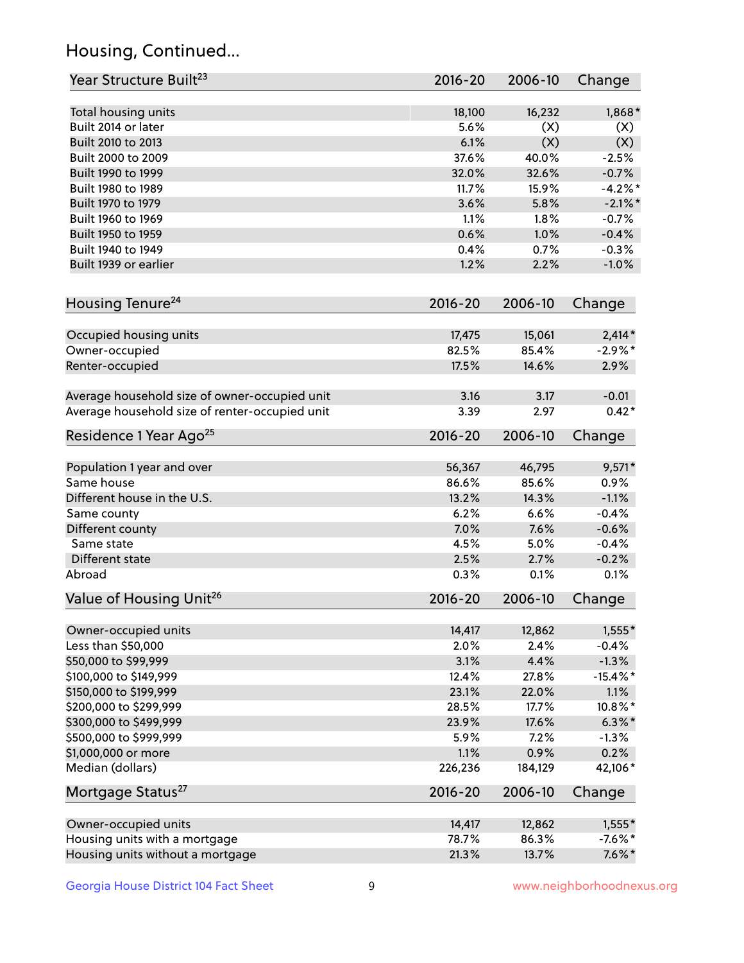## Housing, Continued...

| Year Structure Built <sup>23</sup>             | 2016-20     | 2006-10 | Change      |
|------------------------------------------------|-------------|---------|-------------|
| Total housing units                            | 18,100      | 16,232  | 1,868*      |
| Built 2014 or later                            | 5.6%        | (X)     | (X)         |
| Built 2010 to 2013                             | 6.1%        | (X)     | (X)         |
| Built 2000 to 2009                             | 37.6%       | 40.0%   | $-2.5%$     |
| Built 1990 to 1999                             | 32.0%       | 32.6%   | $-0.7%$     |
| Built 1980 to 1989                             | 11.7%       | 15.9%   | $-4.2%$     |
| Built 1970 to 1979                             | 3.6%        | 5.8%    | $-2.1\%$ *  |
| Built 1960 to 1969                             | 1.1%        | 1.8%    | $-0.7%$     |
| Built 1950 to 1959                             | 0.6%        | 1.0%    | $-0.4%$     |
| Built 1940 to 1949                             | 0.4%        | 0.7%    | $-0.3%$     |
| Built 1939 or earlier                          | 1.2%        | 2.2%    | $-1.0%$     |
| Housing Tenure <sup>24</sup>                   | $2016 - 20$ | 2006-10 | Change      |
| Occupied housing units                         | 17,475      | 15,061  | $2,414*$    |
| Owner-occupied                                 | 82.5%       | 85.4%   | $-2.9\%$ *  |
| Renter-occupied                                | 17.5%       | 14.6%   | 2.9%        |
| Average household size of owner-occupied unit  | 3.16        | 3.17    | $-0.01$     |
| Average household size of renter-occupied unit | 3.39        | 2.97    | $0.42*$     |
| Residence 1 Year Ago <sup>25</sup>             | $2016 - 20$ | 2006-10 | Change      |
| Population 1 year and over                     | 56,367      | 46,795  | $9,571*$    |
| Same house                                     | 86.6%       | 85.6%   | 0.9%        |
| Different house in the U.S.                    | 13.2%       | 14.3%   | $-1.1%$     |
| Same county                                    | 6.2%        | 6.6%    | $-0.4%$     |
| Different county                               | 7.0%        | 7.6%    | $-0.6%$     |
| Same state                                     | 4.5%        | 5.0%    | $-0.4%$     |
| Different state                                | 2.5%        | 2.7%    | $-0.2%$     |
| Abroad                                         | 0.3%        | 0.1%    | 0.1%        |
| Value of Housing Unit <sup>26</sup>            | 2016-20     | 2006-10 | Change      |
| Owner-occupied units                           | 14,417      | 12,862  | $1,555*$    |
| Less than \$50,000                             | 2.0%        | 2.4%    | $-0.4%$     |
| \$50,000 to \$99,999                           | 3.1%        | 4.4%    | $-1.3%$     |
| \$100,000 to \$149,999                         | 12.4%       | 27.8%   | $-15.4\%$ * |
| \$150,000 to \$199,999                         | 23.1%       | 22.0%   | 1.1%        |
| \$200,000 to \$299,999                         | 28.5%       | 17.7%   | 10.8%*      |
| \$300,000 to \$499,999                         | 23.9%       | 17.6%   | $6.3\% *$   |
| \$500,000 to \$999,999                         | 5.9%        | 7.2%    | $-1.3%$     |
| \$1,000,000 or more                            | 1.1%        | 0.9%    | 0.2%        |
| Median (dollars)                               | 226,236     | 184,129 | 42,106*     |
| Mortgage Status <sup>27</sup>                  | $2016 - 20$ | 2006-10 | Change      |
| Owner-occupied units                           | 14,417      | 12,862  | $1,555*$    |
| Housing units with a mortgage                  | 78.7%       | 86.3%   | $-7.6%$ *   |
| Housing units without a mortgage               | 21.3%       | 13.7%   | $7.6\%*$    |
|                                                |             |         |             |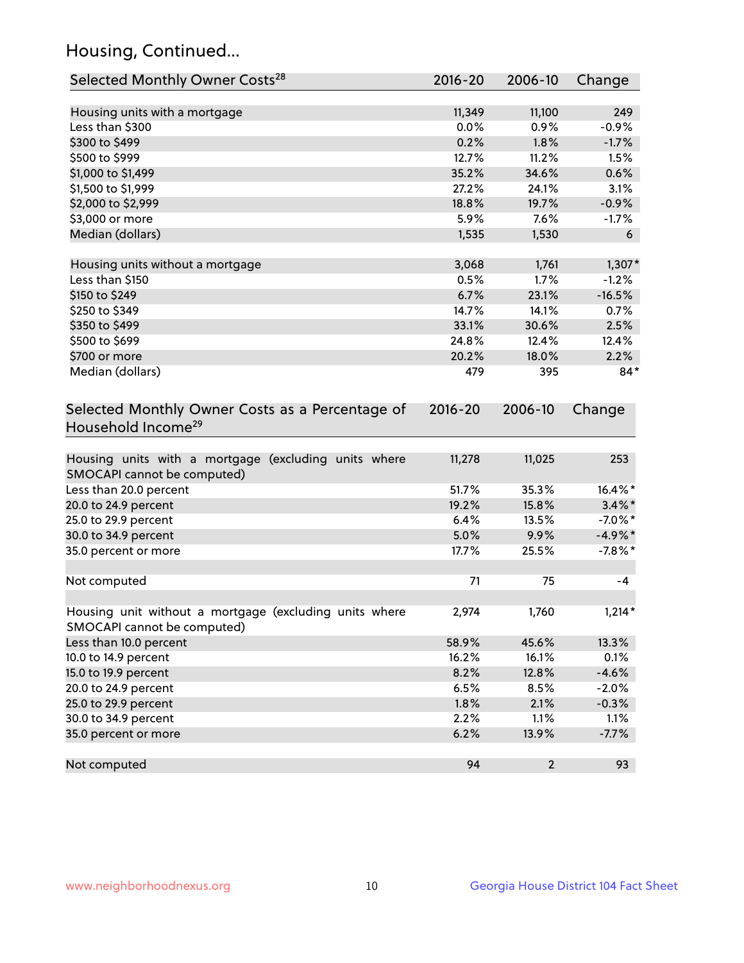## Housing, Continued...

| Selected Monthly Owner Costs <sup>28</sup>                                            | 2016-20     | 2006-10                 | Change     |
|---------------------------------------------------------------------------------------|-------------|-------------------------|------------|
| Housing units with a mortgage                                                         | 11,349      | 11,100                  | 249        |
| Less than \$300                                                                       | 0.0%        | 0.9%                    | $-0.9%$    |
| \$300 to \$499                                                                        | 0.2%        | 1.8%                    | $-1.7%$    |
| \$500 to \$999                                                                        | 12.7%       | 11.2%                   | 1.5%       |
| \$1,000 to \$1,499                                                                    | 35.2%       | 34.6%                   | 0.6%       |
| \$1,500 to \$1,999                                                                    | 27.2%       | 24.1%                   | 3.1%       |
| \$2,000 to \$2,999                                                                    | 18.8%       | 19.7%                   | $-0.9%$    |
| \$3,000 or more                                                                       | 5.9%        | 7.6%                    | $-1.7%$    |
| Median (dollars)                                                                      | 1,535       | 1,530                   | 6          |
|                                                                                       |             |                         |            |
| Housing units without a mortgage                                                      | 3,068       | 1,761                   | $1,307*$   |
| Less than \$150                                                                       | 0.5%        | 1.7%                    | $-1.2%$    |
| \$150 to \$249                                                                        | 6.7%        | 23.1%                   | $-16.5%$   |
| \$250 to \$349                                                                        | 14.7%       | 14.1%                   | 0.7%       |
| \$350 to \$499                                                                        | 33.1%       | 30.6%                   | 2.5%       |
| \$500 to \$699                                                                        | 24.8%       | 12.4%                   | 12.4%      |
| \$700 or more                                                                         | 20.2%       | 18.0%                   | 2.2%       |
| Median (dollars)                                                                      | 479         | 395                     | $84*$      |
| Selected Monthly Owner Costs as a Percentage of<br>Household Income <sup>29</sup>     | $2016 - 20$ | 2006-10                 | Change     |
| Housing units with a mortgage (excluding units where<br>SMOCAPI cannot be computed)   | 11,278      | 11,025                  | 253        |
| Less than 20.0 percent                                                                | 51.7%       | 35.3%                   | 16.4%*     |
| 20.0 to 24.9 percent                                                                  | 19.2%       | 15.8%                   | $3.4\%$ *  |
| 25.0 to 29.9 percent                                                                  | 6.4%        | 13.5%                   | $-7.0\%$ * |
| 30.0 to 34.9 percent                                                                  | 5.0%        | 9.9%                    | $-4.9\%$ * |
| 35.0 percent or more                                                                  | 17.7%       | 25.5%                   | $-7.8%$ *  |
| Not computed                                                                          | 71          | 75                      | $-4$       |
| Housing unit without a mortgage (excluding units where<br>SMOCAPI cannot be computed) | 2,974       | 1,760                   | $1,214*$   |
| Less than 10.0 percent                                                                | 58.9%       | 45.6%                   | 13.3%      |
| 10.0 to 14.9 percent                                                                  | 16.2%       | 16.1%                   | 0.1%       |
| 15.0 to 19.9 percent                                                                  | 8.2%        | 12.8%                   | $-4.6%$    |
| 20.0 to 24.9 percent                                                                  | 6.5%        | 8.5%                    | $-2.0%$    |
| 25.0 to 29.9 percent                                                                  | 1.8%        | 2.1%                    | $-0.3%$    |
| 30.0 to 34.9 percent                                                                  | 2.2%        | 1.1%                    | 1.1%       |
| 35.0 percent or more                                                                  | 6.2%        | 13.9%                   | $-7.7%$    |
| Not computed                                                                          | 94          | $\overline{\mathbf{c}}$ | 93         |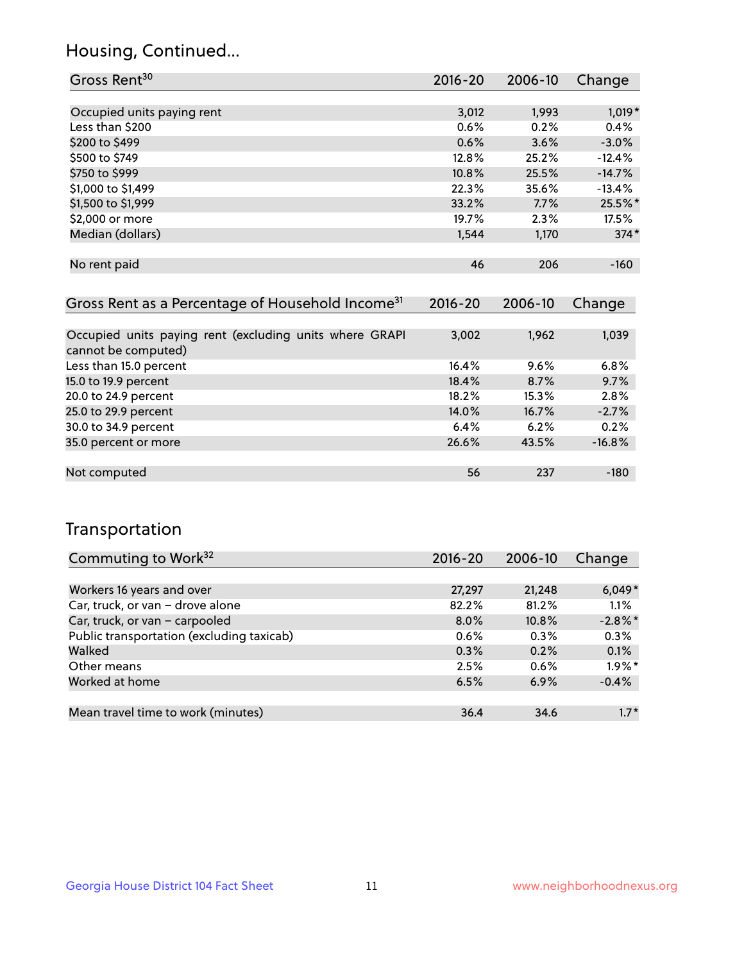## Housing, Continued...

| Gross Rent <sup>30</sup>   | 2016-20 | 2006-10 | Change   |
|----------------------------|---------|---------|----------|
|                            |         |         |          |
| Occupied units paying rent | 3,012   | 1,993   | $1,019*$ |
| Less than \$200            | 0.6%    | 0.2%    | 0.4%     |
| \$200 to \$499             | 0.6%    | 3.6%    | $-3.0%$  |
| \$500 to \$749             | 12.8%   | 25.2%   | $-12.4%$ |
| \$750 to \$999             | 10.8%   | 25.5%   | $-14.7%$ |
| \$1,000 to \$1,499         | 22.3%   | 35.6%   | $-13.4%$ |
| \$1,500 to \$1,999         | 33.2%   | 7.7%    | 25.5%*   |
| \$2,000 or more            | 19.7%   | 2.3%    | 17.5%    |
| Median (dollars)           | 1,544   | 1,170   | $374*$   |
|                            |         |         |          |
| No rent paid               | 46      | 206     | $-160$   |

| Gross Rent as a Percentage of Household Income <sup>31</sup>                   | $2016 - 20$ | 2006-10 | Change   |
|--------------------------------------------------------------------------------|-------------|---------|----------|
|                                                                                |             |         |          |
| Occupied units paying rent (excluding units where GRAPI<br>cannot be computed) | 3,002       | 1,962   | 1,039    |
| Less than 15.0 percent                                                         | 16.4%       | 9.6%    | 6.8%     |
| 15.0 to 19.9 percent                                                           | 18.4%       | 8.7%    | 9.7%     |
| 20.0 to 24.9 percent                                                           | 18.2%       | 15.3%   | 2.8%     |
| 25.0 to 29.9 percent                                                           | 14.0%       | 16.7%   | $-2.7%$  |
| 30.0 to 34.9 percent                                                           | 6.4%        | 6.2%    | 0.2%     |
| 35.0 percent or more                                                           | 26.6%       | 43.5%   | $-16.8%$ |
|                                                                                |             |         |          |
| Not computed                                                                   | 56          | 237     | $-180$   |

## Transportation

| Commuting to Work <sup>32</sup>           | 2016-20 | 2006-10 | Change     |
|-------------------------------------------|---------|---------|------------|
|                                           |         |         |            |
| Workers 16 years and over                 | 27,297  | 21,248  | $6,049*$   |
| Car, truck, or van - drove alone          | 82.2%   | 81.2%   | 1.1%       |
| Car, truck, or van - carpooled            | $8.0\%$ | 10.8%   | $-2.8\%$ * |
| Public transportation (excluding taxicab) | 0.6%    | 0.3%    | 0.3%       |
| Walked                                    | 0.3%    | 0.2%    | 0.1%       |
| Other means                               | 2.5%    | 0.6%    | $1.9\%$ *  |
| Worked at home                            | 6.5%    | 6.9%    | $-0.4%$    |
|                                           |         |         |            |
| Mean travel time to work (minutes)        | 36.4    | 34.6    | $1.7*$     |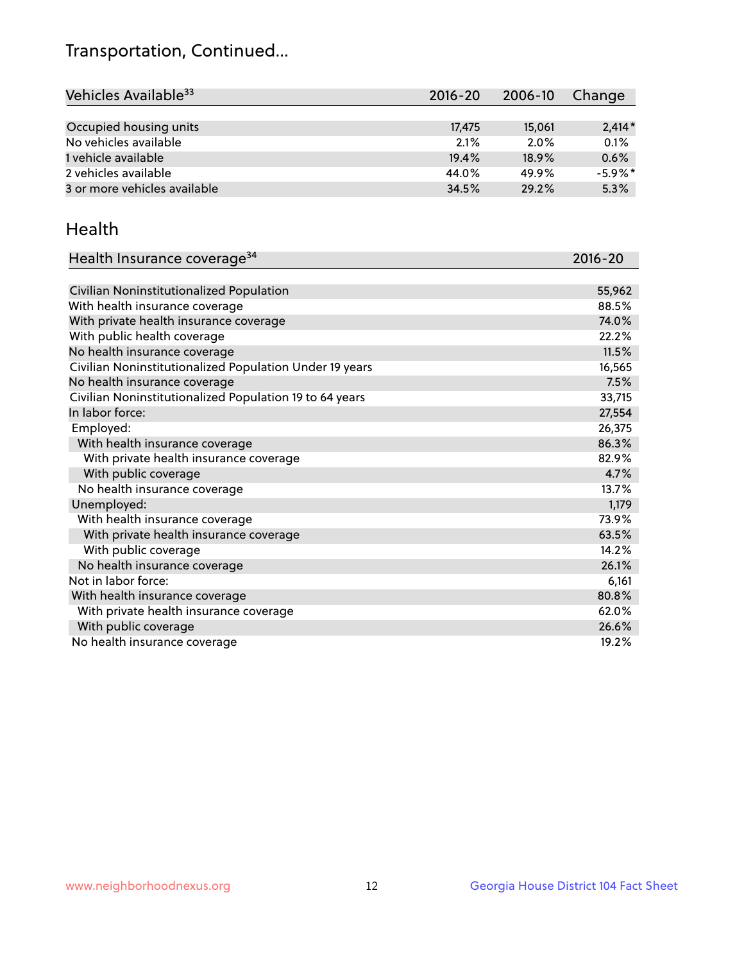## Transportation, Continued...

| Vehicles Available <sup>33</sup> | $2016 - 20$ | $2006 - 10$ | Change     |
|----------------------------------|-------------|-------------|------------|
|                                  |             |             |            |
| Occupied housing units           | 17.475      | 15,061      | $2,414*$   |
| No vehicles available            | 2.1%        | 2.0%        | 0.1%       |
| 1 vehicle available              | 19.4%       | 18.9%       | 0.6%       |
| 2 vehicles available             | 44.0%       | 49.9%       | $-5.9\%$ * |
| 3 or more vehicles available     | 34.5%       | 29.2%       | 5.3%       |

#### Health

| Health Insurance coverage <sup>34</sup>                 | 2016-20 |
|---------------------------------------------------------|---------|
|                                                         |         |
| Civilian Noninstitutionalized Population                | 55,962  |
| With health insurance coverage                          | 88.5%   |
| With private health insurance coverage                  | 74.0%   |
| With public health coverage                             | 22.2%   |
| No health insurance coverage                            | 11.5%   |
| Civilian Noninstitutionalized Population Under 19 years | 16,565  |
| No health insurance coverage                            | 7.5%    |
| Civilian Noninstitutionalized Population 19 to 64 years | 33,715  |
| In labor force:                                         | 27,554  |
| Employed:                                               | 26,375  |
| With health insurance coverage                          | 86.3%   |
| With private health insurance coverage                  | 82.9%   |
| With public coverage                                    | 4.7%    |
| No health insurance coverage                            | 13.7%   |
| Unemployed:                                             | 1,179   |
| With health insurance coverage                          | 73.9%   |
| With private health insurance coverage                  | 63.5%   |
| With public coverage                                    | 14.2%   |
| No health insurance coverage                            | 26.1%   |
| Not in labor force:                                     | 6,161   |
| With health insurance coverage                          | 80.8%   |
| With private health insurance coverage                  | 62.0%   |
| With public coverage                                    | 26.6%   |
| No health insurance coverage                            | 19.2%   |